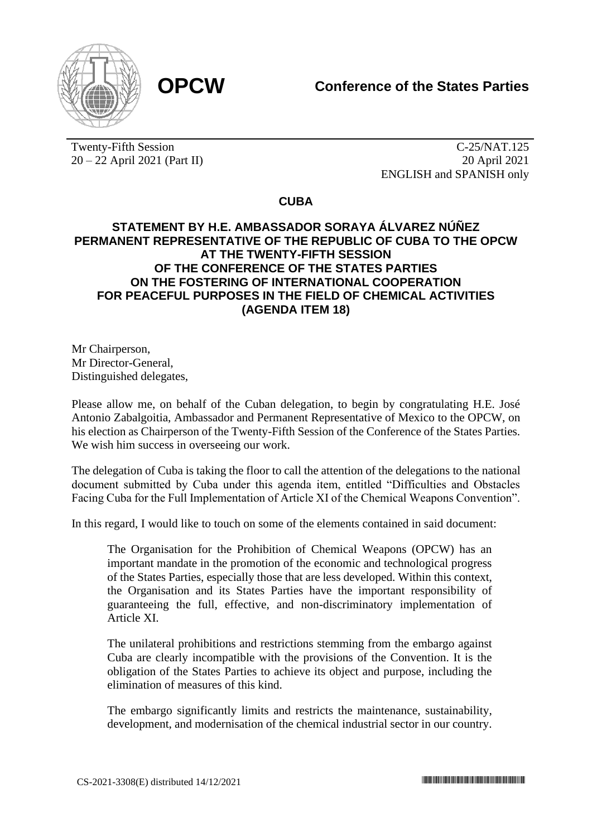

Twenty-Fifth Session 20 – 22 April 2021 (Part II)

C-25/NAT.125 20 April 2021 ENGLISH and SPANISH only

**CUBA**

## **STATEMENT BY H.E. AMBASSADOR SORAYA ÁLVAREZ NÚÑEZ PERMANENT REPRESENTATIVE OF THE REPUBLIC OF CUBA TO THE OPCW AT THE TWENTY-FIFTH SESSION OF THE CONFERENCE OF THE STATES PARTIES ON THE FOSTERING OF INTERNATIONAL COOPERATION FOR PEACEFUL PURPOSES IN THE FIELD OF CHEMICAL ACTIVITIES (AGENDA ITEM 18)**

Mr Chairperson, Mr Director-General, Distinguished delegates,

Please allow me, on behalf of the Cuban delegation, to begin by congratulating H.E. José Antonio Zabalgoitia, Ambassador and Permanent Representative of Mexico to the OPCW, on his election as Chairperson of the Twenty-Fifth Session of the Conference of the States Parties. We wish him success in overseeing our work.

The delegation of Cuba is taking the floor to call the attention of the delegations to the national document submitted by Cuba under this agenda item, entitled "Difficulties and Obstacles Facing Cuba for the Full Implementation of Article XI of the Chemical Weapons Convention".

In this regard, I would like to touch on some of the elements contained in said document:

The Organisation for the Prohibition of Chemical Weapons (OPCW) has an important mandate in the promotion of the economic and technological progress of the States Parties, especially those that are less developed. Within this context, the Organisation and its States Parties have the important responsibility of guaranteeing the full, effective, and non-discriminatory implementation of Article XI.

The unilateral prohibitions and restrictions stemming from the embargo against Cuba are clearly incompatible with the provisions of the Convention. It is the obligation of the States Parties to achieve its object and purpose, including the elimination of measures of this kind.

The embargo significantly limits and restricts the maintenance, sustainability, development, and modernisation of the chemical industrial sector in our country.